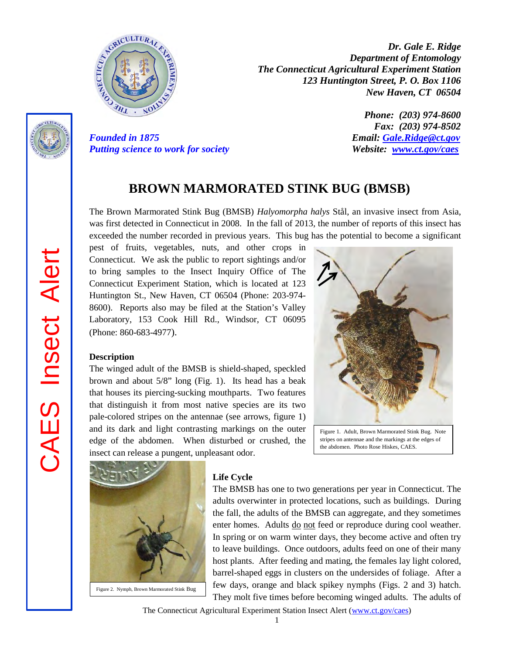

*Dr. Gale E. Ridge Department of Entomology The Connecticut Agricultural Experiment Station 123 Huntington Street, P. O. Box 1106 New Haven, CT 06504* 

*Phone: (203) 974-8600 Fax: (203) 974-8502 Founded in 1875 Email: [Gale.Ridge@ct.gov](mailto:Gale.Ridge@ct.gov) Putting science to work for society Website: [www.ct.gov/caes](http://www.ct.gov/caes)*

# **BROWN MARMORATED STINK BUG (BMSB)**

The Brown Marmorated Stink Bug (BMSB) *Halyomorpha halys* Stål, an invasive insect from Asia, was first detected in Connecticut in 2008. In the fall of 2013, the number of reports of this insect has exceeded the number recorded in previous years. This bug has the potential to become a significant

pest of fruits, vegetables, nuts, and other crops in Connecticut. We ask the public to report sightings and/or to bring samples to the Insect Inquiry Office of The Connecticut Experiment Station, which is located at 123 Huntington St., New Haven, CT 06504 (Phone: 203-974- 8600). Reports also may be filed at the Station's Valley Laboratory, 153 Cook Hill Rd., Windsor, CT 06095 (Phone: 860-683-4977).

#### **Description**

The winged adult of the BMSB is shield-shaped, speckled brown and about 5/8" long (Fig. 1). Its head has a beak that houses its piercing-sucking mouthparts. Two features that distinguish it from most native species are its two pale-colored stripes on the antennae (see arrows, figure 1) and its dark and light contrasting markings on the outer edge of the abdomen. When disturbed or crushed, the insect can release a pungent, unpleasant odor.



Figure 1. Adult, Brown Marmorated Stink Bug. Note stripes on antennae and the markings at the edges of the abdomen. Photo Rose Hiskes, CAES.



Figure 2. Nymph, Brown Marmorated Stink Bug

#### **Life Cycle**

The BMSB has one to two generations per year in Connecticut. The adults overwinter in protected locations, such as buildings. During the fall, the adults of the BMSB can aggregate, and they sometimes enter homes. Adults do not feed or reproduce during cool weather. In spring or on warm winter days, they become active and often try to leave buildings. Once outdoors, adults feed on one of their many host plants. After feeding and mating, the females lay light colored, barrel-shaped eggs in clusters on the undersides of foliage. After a few days, orange and black spikey nymphs (Figs. 2 and 3) hatch. They molt five times before becoming winged adults. The adults of

The Connecticut Agricultural Experiment Station Insect Alert [\(www.ct.gov/caes\)](http://www.ct.gov/caes)